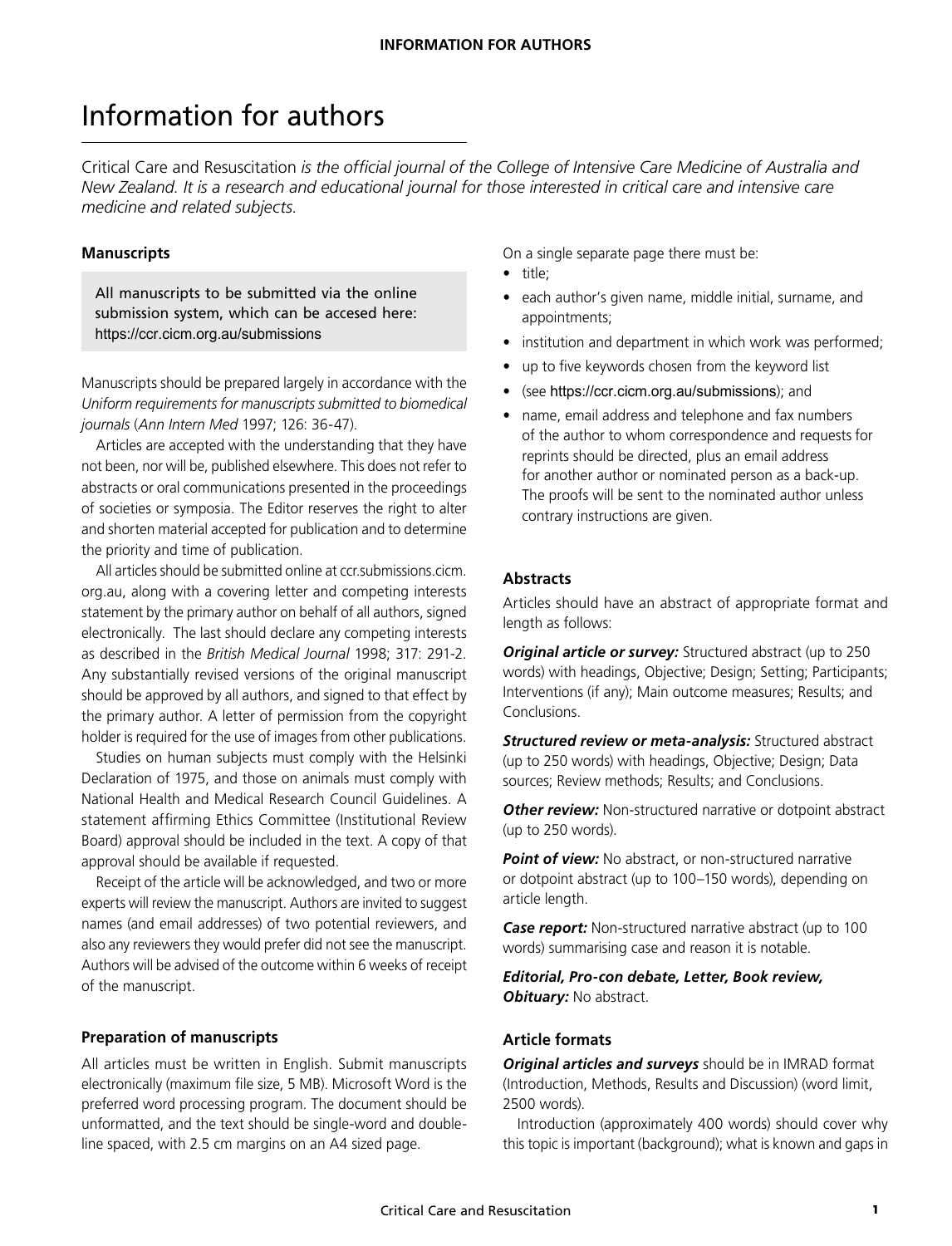# Information for authors

Critical Care and Resuscitation *is the official journal of the College of Intensive Care Medicine of Australia and New Zealand. It is a research and educational journal for those interested in critical care and intensive care medicine and related subjects.*

## **Manuscripts**

All manuscripts to be submitted via the online submission system, which can be accesed here: <https://ccr.cicm.org.au/submissions>

Manuscripts should be prepared largely in accordance with the *Uniform requirements for manuscripts submitted to biomedical journals* (*Ann Intern Med* 1997; 126: 36-47).

Articles are accepted with the understanding that they have not been, nor will be, published elsewhere. This does not refer to abstracts or oral communications presented in the proceedings of societies or symposia. The Editor reserves the right to alter and shorten material accepted for publication and to determine the priority and time of publication.

All articles should be submitted online at ccr.submissions.cicm. org.au, along with a covering letter and competing interests statement by the primary author on behalf of all authors, signed electronically. The last should declare any competing interests as described in the *British Medical Journal* 1998; 317: 291-2. Any substantially revised versions of the original manuscript should be approved by all authors, and signed to that effect by the primary author. A letter of permission from the copyright holder is required for the use of images from other publications.

Studies on human subjects must comply with the Helsinki Declaration of 1975, and those on animals must comply with National Health and Medical Research Council Guidelines. A statement affirming Ethics Committee (Institutional Review Board) approval should be included in the text. A copy of that approval should be available if requested.

Receipt of the article will be acknowledged, and two or more experts will review the manuscript. Authors are invited to suggest names (and email addresses) of two potential reviewers, and also any reviewers they would prefer did not see the manuscript. Authors will be advised of the outcome within 6 weeks of receipt of the manuscript.

## **Preparation of manuscripts**

All articles must be written in English. Submit manuscripts electronically (maximum file size, 5 MB). Microsoft Word is the preferred word processing program. The document should be unformatted, and the text should be single-word and doubleline spaced, with 2.5 cm margins on an A4 sized page.

On a single separate page there must be:

- title;
- each author's given name, middle initial, surname, and appointments;
- institution and department in which work was performed;
- up to five keywords chosen from the keyword list
- (see https://ccr.cicm.org.au/submissions); and
- name, email address and telephone and fax numbers of the author to whom correspondence and requests for reprints should be directed, plus an email address for another author or nominated person as a back-up. The proofs will be sent to the nominated author unless contrary instructions are given.

## **Abstracts**

Articles should have an abstract of appropriate format and length as follows:

*Original article or survey:* Structured abstract (up to 250 words) with headings, Objective; Design; Setting; Participants; Interventions (if any); Main outcome measures; Results; and Conclusions.

*Structured review or meta-analysis:* Structured abstract (up to 250 words) with headings, Objective; Design; Data sources; Review methods; Results; and Conclusions.

**Other review:** Non-structured narrative or dotpoint abstract (up to 250 words).

**Point of view:** No abstract, or non-structured narrative or dotpoint abstract (up to 100–150 words), depending on article length.

*Case report:* Non-structured narrative abstract (up to 100 words) summarising case and reason it is notable.

*Editorial, Pro-con debate, Letter, Book review,*  **Obituary:** No abstract.

# **Article formats**

*Original articles and surveys* should be in IMRAD format (Introduction, Methods, Results and Discussion) (word limit, 2500 words).

Introduction (approximately 400 words) should cover why this topic is important (background); what is known and gaps in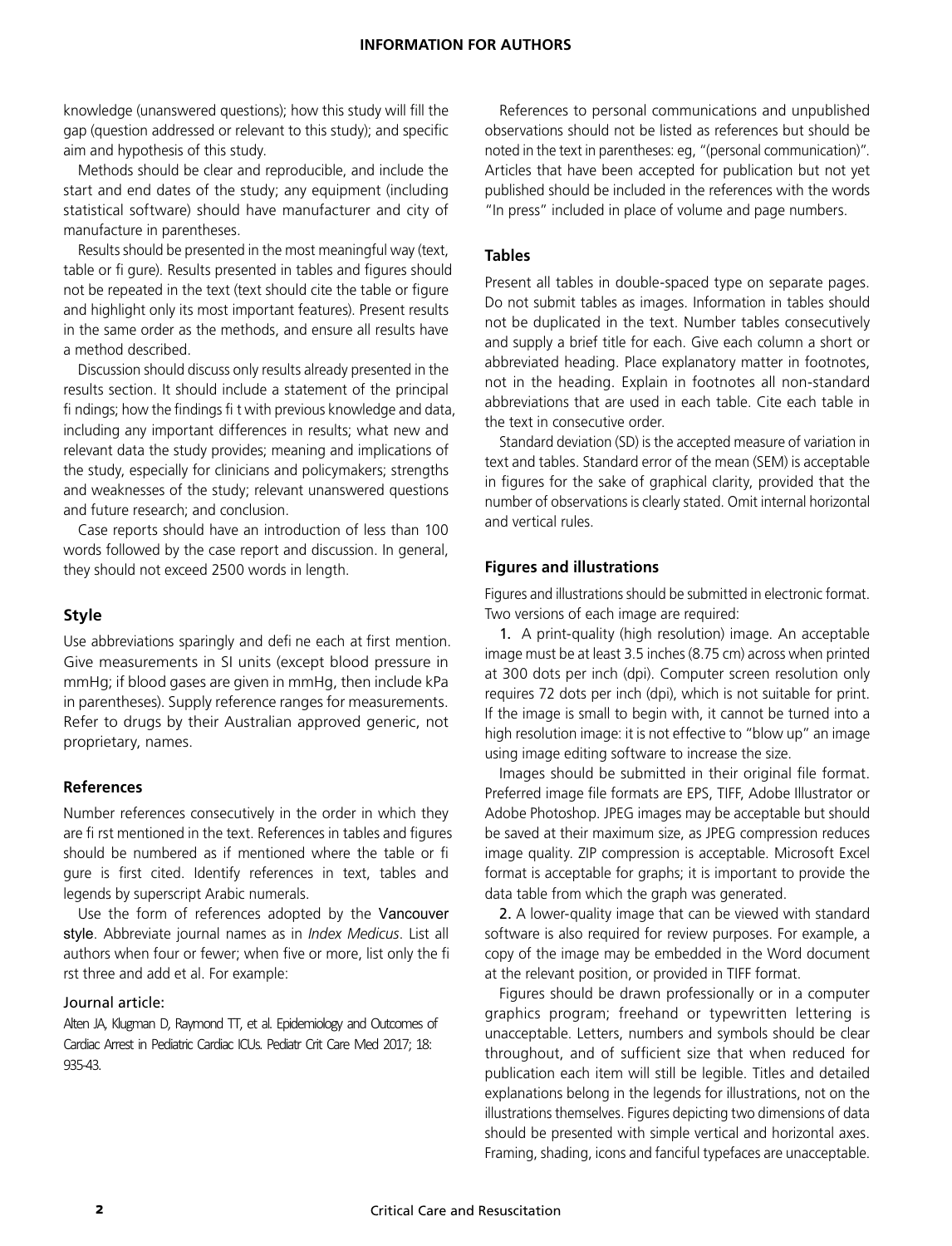knowledge (unanswered questions); how this study will fill the gap (question addressed or relevant to this study); and specific aim and hypothesis of this study.

Methods should be clear and reproducible, and include the start and end dates of the study; any equipment (including statistical software) should have manufacturer and city of manufacture in parentheses.

Results should be presented in the most meaningful way (text, table or fi gure). Results presented in tables and figures should not be repeated in the text (text should cite the table or figure and highlight only its most important features). Present results in the same order as the methods, and ensure all results have a method described.

Discussion should discuss only results already presented in the results section. It should include a statement of the principal fi ndings; how the findings fi t with previous knowledge and data, including any important differences in results; what new and relevant data the study provides; meaning and implications of the study, especially for clinicians and policymakers; strengths and weaknesses of the study; relevant unanswered questions and future research; and conclusion.

Case reports should have an introduction of less than 100 words followed by the case report and discussion. In general, they should not exceed 2500 words in length.

# **Style**

Use abbreviations sparingly and defi ne each at first mention. Give measurements in SI units (except blood pressure in mmHg; if blood gases are given in mmHg, then include kPa in parentheses). Supply reference ranges for measurements. Refer to drugs by their Australian approved generic, not proprietary, names.

## **References**

Number references consecutively in the order in which they are fi rst mentioned in the text. References in tables and figures should be numbered as if mentioned where the table or fi gure is first cited. Identify references in text, tables and legends by superscript Arabic numerals.

Use the form of references adopted by the Vancouver style. Abbreviate journal names as in *Index Medicus*. List all authors when four or fewer; when five or more, list only the fi rst three and add et al. For example:

#### Journal article:

Alten JA, Klugman D, Raymond TT, et al. Epidemiology and Outcomes of Cardiac Arrest in Pediatric Cardiac ICUs. Pediatr Crit Care Med 2017; 18: 935-43.

References to personal communications and unpublished observations should not be listed as references but should be noted in the text in parentheses: eg, "(personal communication)". Articles that have been accepted for publication but not yet published should be included in the references with the words "In press" included in place of volume and page numbers.

## **Tables**

Present all tables in double-spaced type on separate pages. Do not submit tables as images. Information in tables should not be duplicated in the text. Number tables consecutively and supply a brief title for each. Give each column a short or abbreviated heading. Place explanatory matter in footnotes, not in the heading. Explain in footnotes all non-standard abbreviations that are used in each table. Cite each table in the text in consecutive order.

Standard deviation (SD) is the accepted measure of variation in text and tables. Standard error of the mean (SEM) is acceptable in figures for the sake of graphical clarity, provided that the number of observations is clearly stated. Omit internal horizontal and vertical rules.

## **Figures and illustrations**

Figures and illustrations should be submitted in electronic format. Two versions of each image are required:

1. A print-quality (high resolution) image. An acceptable image must be at least 3.5 inches (8.75 cm) across when printed at 300 dots per inch (dpi). Computer screen resolution only requires 72 dots per inch (dpi), which is not suitable for print. If the image is small to begin with, it cannot be turned into a high resolution image: it is not effective to "blow up" an image using image editing software to increase the size.

Images should be submitted in their original file format. Preferred image file formats are EPS, TIFF, Adobe Illustrator or Adobe Photoshop. JPEG images may be acceptable but should be saved at their maximum size, as JPEG compression reduces image quality. ZIP compression is acceptable. Microsoft Excel format is acceptable for graphs; it is important to provide the data table from which the graph was generated.

2. A lower-quality image that can be viewed with standard software is also required for review purposes. For example, a copy of the image may be embedded in the Word document at the relevant position, or provided in TIFF format.

Figures should be drawn professionally or in a computer graphics program; freehand or typewritten lettering is unacceptable. Letters, numbers and symbols should be clear throughout, and of sufficient size that when reduced for publication each item will still be legible. Titles and detailed explanations belong in the legends for illustrations, not on the illustrations themselves. Figures depicting two dimensions of data should be presented with simple vertical and horizontal axes. Framing, shading, icons and fanciful typefaces are unacceptable.